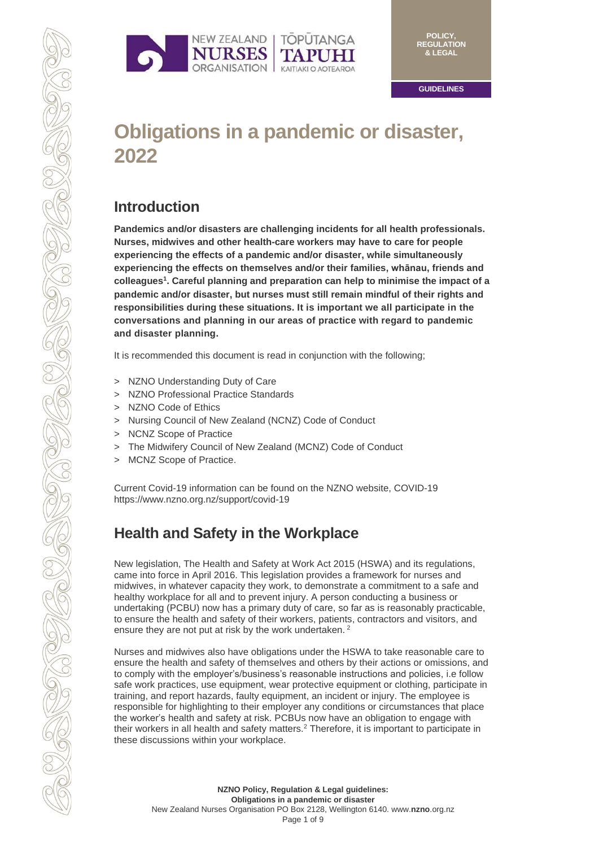



**GUIDELINES**

# **Obligations in a pandemic or disaster, 2022**

## **Introduction**

**Pandemics and/or disasters are challenging incidents for all health professionals. Nurses, midwives and other health-care workers may have to care for people experiencing the effects of a pandemic and/or disaster, while simultaneously experiencing the effects on themselves and/or their families, whānau, friends and colleagues 1 . Careful planning and preparation can help to minimise the impact of a pandemic and/or disaster, but nurses must still remain mindful of their rights and responsibilities during these situations. It is important we all participate in the conversations and planning in our areas of practice with regard to pandemic and disaster planning.**

It is recommended this document is read in conjunction with the following;

- > NZNO Understanding Duty of Care
- > NZNO Professional Practice Standards
- > NZNO Code of Ethics
- > Nursing Council of New Zealand (NCNZ) Code of Conduct
- > NCNZ Scope of Practice
- > The Midwifery Council of New Zealand (MCNZ) Code of Conduct
- > MCNZ Scope of Practice.

Current Covid-19 information can be found on the NZNO website[, COVID-19](https://www.nzno.org.nz/support/covid-19)  <https://www.nzno.org.nz/support/covid-19>

## **Health and Safety in the Workplace**

New legislation, The Health and Safety at Work Act 2015 (HSWA) and its regulations, came into force in April 2016. This legislation provides a framework for nurses and midwives, in whatever capacity they work, to demonstrate a commitment to a safe and healthy workplace for all and to prevent injury. A person conducting a business or undertaking (PCBU) now has a primary duty of care, so far as is reasonably practicable, to ensure the health and safety of their workers, patients, contractors and visitors, and ensure they are not put at risk by the work undertaken.<sup>2</sup>

Nurses and midwives also have obligations under the HSWA to take reasonable care to ensure the health and safety of themselves and others by their actions or omissions, and to comply with the employer's/business's reasonable instructions and policies, i.e follow safe work practices, use equipment, wear protective equipment or clothing, participate in training, and report hazards, faulty equipment, an incident or injury. The employee is responsible for highlighting to their employer any conditions or circumstances that place the worker's health and safety at risk. PCBUs now have an obligation to engage with their workers in all health and safety matters.<sup>2</sup> Therefore, it is important to participate in these discussions within your workplace.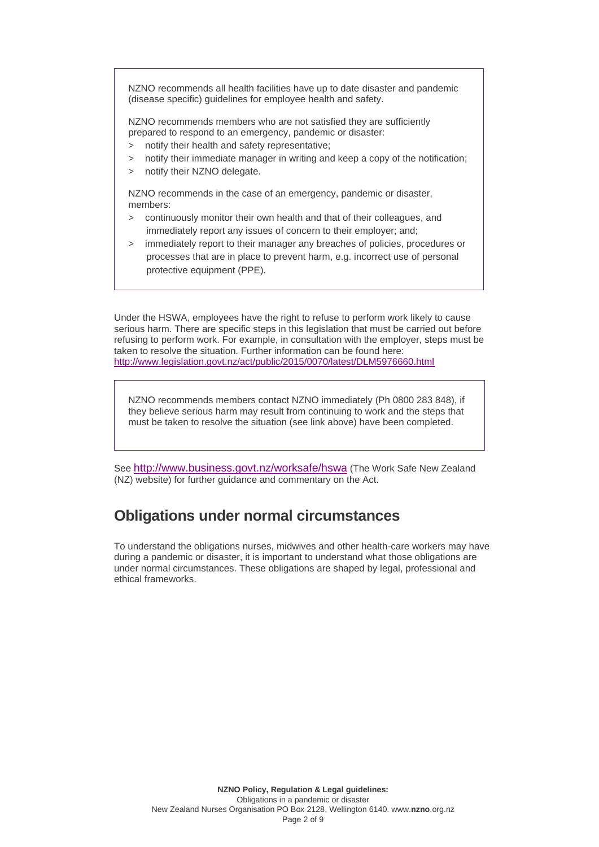NZNO recommends all health facilities have up to date disaster and pandemic (disease specific) guidelines for employee health and safety.

NZNO recommends members who are not satisfied they are sufficiently prepared to respond to an emergency, pandemic or disaster:

- > notify their health and safety representative;
- > notify their immediate manager in writing and keep a copy of the notification;
- > notify their NZNO delegate.

NZNO recommends in the case of an emergency, pandemic or disaster, members:

- > continuously monitor their own health and that of their colleagues, and immediately report any issues of concern to their employer; and;
- > immediately report to their manager any breaches of policies, procedures or processes that are in place to prevent harm, e.g. incorrect use of personal protective equipment (PPE).

Under the HSWA, employees have the right to refuse to perform work likely to cause serious harm. There are specific steps in this legislation that must be carried out before refusing to perform work. For example, in consultation with the employer, steps must be taken to resolve the situation. Further information can be found here: <http://www.legislation.govt.nz/act/public/2015/0070/latest/DLM5976660.html>

NZNO recommends members contact NZNO immediately (Ph 0800 283 848), if they believe serious harm may result from continuing to work and the steps that must be taken to resolve the situation (see link above) have been completed.

See <http://www.business.govt.nz/worksafe/hswa> (The Work Safe New Zealand (NZ) website) for further guidance and commentary on the Act.

## **Obligations under normal circumstances**

To understand the obligations nurses, midwives and other health-care workers may have during a pandemic or disaster, it is important to understand what those obligations are under normal circumstances. These obligations are shaped by legal, professional and ethical frameworks.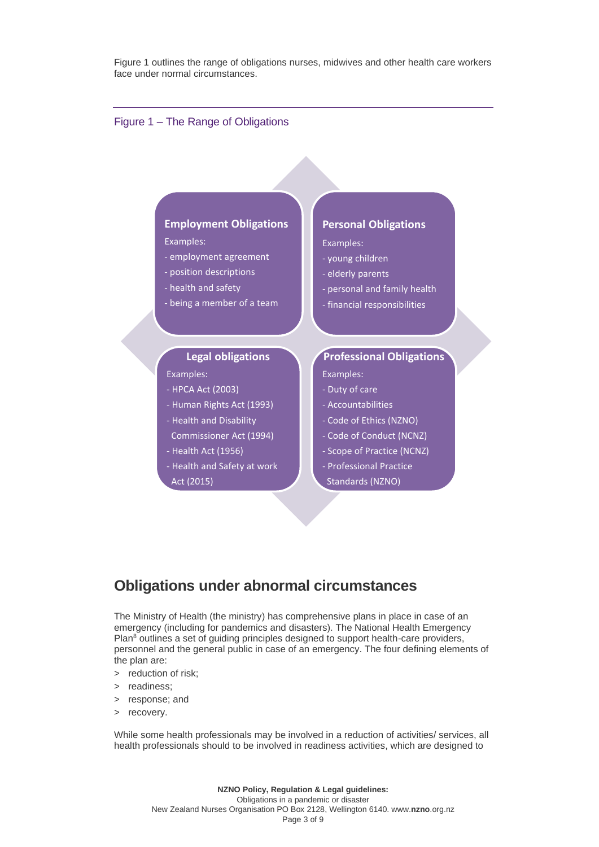Figure 1 outlines the range of obligations nurses, midwives and other health care workers face under normal circumstances.

#### Figure 1 – The Range of Obligations

#### **Employment Obligations**

Examples:

- employment agreement
- position descriptions
- health and safety
- being a member of a team

#### **Legal obligations**

Examples:

- HPCA Act (2003)
- Human Rights Act (1993)
- Health and Disability Commissioner Act (1994)
- Health Act (1956)
- Health and Safety at work Act (2015)

#### **Personal Obligations**

#### Examples:

- young children
- elderly parents
- personal and family health
- financial responsibilities

#### **Professional Obligations**

Examples:

- Duty of care
- Accountabilities
- Code of Ethics (NZNO)
- Code of Conduct (NCNZ)
- Scope of Practice (NCNZ)
- Professional Practice Standards (NZNO)

### **Obligations under abnormal circumstances**

The Ministry of Health (the ministry) has comprehensive plans in place in case of an emergency (including for pandemics and disasters). The National Health Emergency Plan<sup>8</sup> outlines a set of quiding principles designed to support health-care providers, personnel and the general public in case of an emergency. The four defining elements of the plan are:

- > reduction of risk;
- > readiness;
- response; and
- > recovery.

While some health professionals may be involved in a reduction of activities/ services, all health professionals should to be involved in readiness activities, which are designed to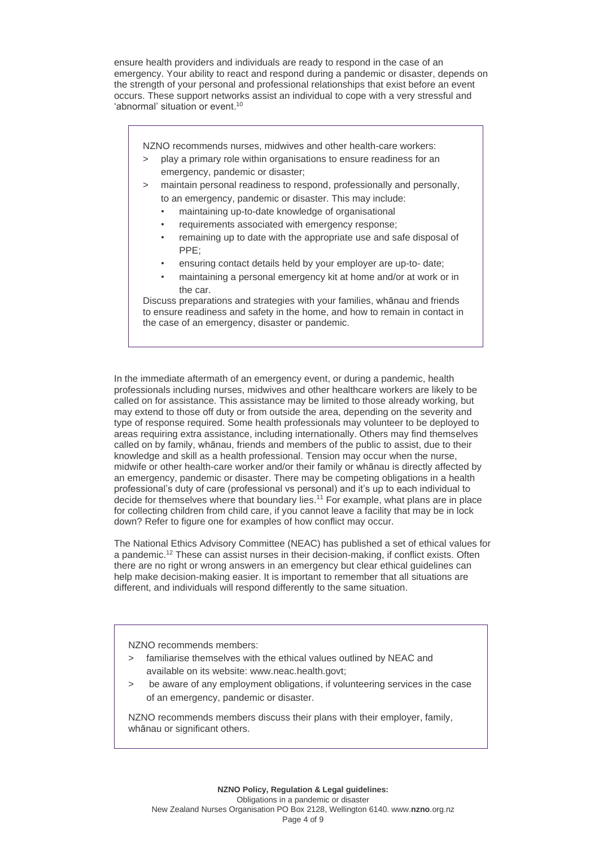ensure health providers and individuals are ready to respond in the case of an emergency. Your ability to react and respond during a pandemic or disaster, depends on the strength of your personal and professional relationships that exist before an event occurs. These support networks assist an individual to cope with a very stressful and 'abnormal' situation or event.<sup>10</sup>

NZNO recommends nurses, midwives and other health-care workers:

- > play a primary role within organisations to ensure readiness for an emergency, pandemic or disaster;
- > maintain personal readiness to respond, professionally and personally, to an emergency, pandemic or disaster. This may include:
	- maintaining up-to-date knowledge of organisational
	- requirements associated with emergency response;
	- remaining up to date with the appropriate use and safe disposal of PPE;
	- ensuring contact details held by your employer are up-to- date;
	- maintaining a personal emergency kit at home and/or at work or in the car.

Discuss preparations and strategies with your families, whānau and friends to ensure readiness and safety in the home, and how to remain in contact in the case of an emergency, disaster or pandemic.

In the immediate aftermath of an emergency event, or during a pandemic, health professionals including nurses, midwives and other healthcare workers are likely to be called on for assistance. This assistance may be limited to those already working, but may extend to those off duty or from outside the area, depending on the severity and type of response required. Some health professionals may volunteer to be deployed to areas requiring extra assistance, including internationally. Others may find themselves called on by family, whānau, friends and members of the public to assist, due to their knowledge and skill as a health professional. Tension may occur when the nurse, midwife or other health-care worker and/or their family or whānau is directly affected by an emergency, pandemic or disaster. There may be competing obligations in a health professional's duty of care (professional vs personal) and it's up to each individual to decide for themselves where that boundary lies. <sup>11</sup> For example, what plans are in place for collecting children from child care, if you cannot leave a facility that may be in lock down? Refer to figure one for examples of how conflict may occur.

The National Ethics Advisory Committee (NEAC) has published a set of ethical values for a pandemic.<sup>12</sup> These can assist nurses in their decision-making, if conflict exists. Often there are no right or wrong answers in an emergency but clear ethical guidelines can help make decision-making easier. It is important to remember that all situations are different, and individuals will respond differently to the same situation.

NZNO recommends members:

- > familiarise themselves with the ethical values outlined by NEAC and available on its website[: www.neac.health.govt;](http://neac.health.govt.nz/system/files/documents/publications/getting-through-together-jul07.pdf)
- > be aware of any employment obligations, if volunteering services in the case of an emergency, pandemic or disaster.

NZNO recommends members discuss their plans with their employer, family, whānau or significant others.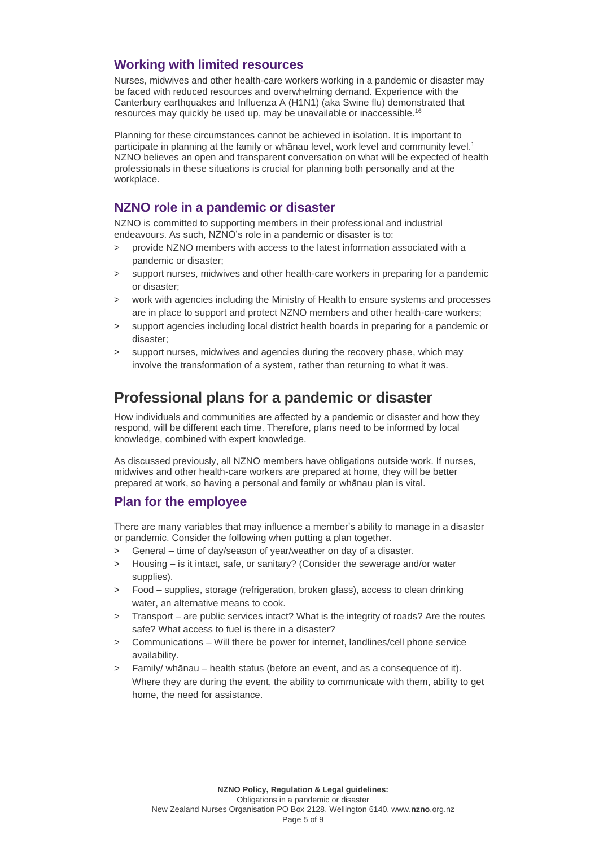### **Working with limited resources**

Nurses, midwives and other health-care workers working in a pandemic or disaster may be faced with reduced resources and overwhelming demand. Experience with the Canterbury earthquakes and Influenza A (H1N1) (aka Swine flu) demonstrated that resources may quickly be used up, may be unavailable or inaccessible.<sup>16</sup>

Planning for these circumstances cannot be achieved in isolation. It is important to participate in planning at the family or whānau level, work level and community level.<sup>1</sup> NZNO believes an open and transparent conversation on what will be expected of health professionals in these situations is crucial for planning both personally and at the workplace.

### **NZNO role in a pandemic or disaster**

NZNO is committed to supporting members in their professional and industrial endeavours. As such, NZNO's role in a pandemic or disaster is to:

- provide NZNO members with access to the latest information associated with a pandemic or disaster;
- > support nurses, midwives and other health-care workers in preparing for a pandemic or disaster;
- > work with agencies including the Ministry of Health to ensure systems and processes are in place to support and protect NZNO members and other health-care workers;
- support agencies including local district health boards in preparing for a pandemic or disaster;
- support nurses, midwives and agencies during the recovery phase, which may involve the transformation of a system, rather than returning to what it was.

## **Professional plans for a pandemic or disaster**

How individuals and communities are affected by a pandemic or disaster and how they respond, will be different each time. Therefore, plans need to be informed by local knowledge, combined with expert knowledge.

As discussed previously, all NZNO members have obligations outside work. If nurses, midwives and other health-care workers are prepared at home, they will be better prepared at work, so having a personal and family or whānau plan is vital.

### **Plan for the employee**

There are many variables that may influence a member's ability to manage in a disaster or pandemic. Consider the following when putting a plan together.

- > General time of day/season of year/weather on day of a disaster.
- Housing is it intact, safe, or sanitary? (Consider the sewerage and/or water supplies).
- > Food supplies, storage (refrigeration, broken glass), access to clean drinking water, an alternative means to cook.
- > Transport are public services intact? What is the integrity of roads? Are the routes safe? What access to fuel is there in a disaster?
- > Communications Will there be power for internet, landlines/cell phone service availability.
- > Family/ whānau health status (before an event, and as a consequence of it). Where they are during the event, the ability to communicate with them, ability to get home, the need for assistance.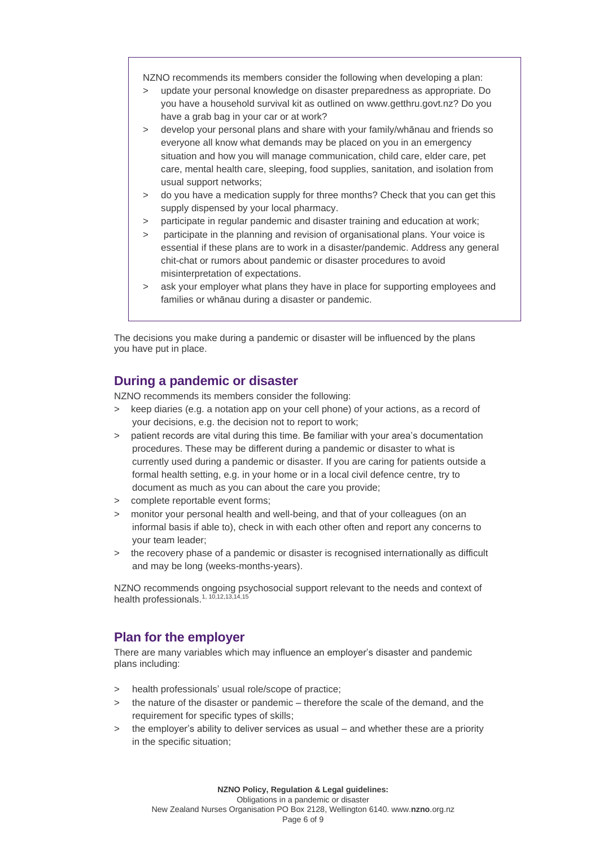NZNO recommends its members consider the following when developing a plan:

- > update your personal knowledge on disaster preparedness as appropriate. Do you have a household survival kit as outlined on [www.getthru.govt.nz?](http://www.getthru.govt.nz/) Do you have a grab bag in your car or at work?
- > develop your personal plans and share with your family/whānau and friends so everyone all know what demands may be placed on you in an emergency situation and how you will manage communication, child care, elder care, pet care, mental health care, sleeping, food supplies, sanitation, and isolation from usual support networks;
- > do you have a medication supply for three months? Check that you can get this supply dispensed by your local pharmacy.
- > participate in regular pandemic and disaster training and education at work;
- participate in the planning and revision of organisational plans. Your voice is essential if these plans are to work in a disaster/pandemic. Address any general chit-chat or rumors about pandemic or disaster procedures to avoid misinterpretation of expectations.
- > ask your employer what plans they have in place for supporting employees and families or whānau during a disaster or pandemic.

The decisions you make during a pandemic or disaster will be influenced by the plans you have put in place.

### **During a pandemic or disaster**

NZNO recommends its members consider the following:

- > keep diaries (e.g. a notation app on your cell phone) of your actions, as a record of your decisions, e.g. the decision not to report to work;
- > patient records are vital during this time. Be familiar with your area's documentation procedures. These may be different during a pandemic or disaster to what is currently used during a pandemic or disaster. If you are caring for patients outside a formal health setting, e.g. in your home or in a local civil defence centre, try to document as much as you can about the care you provide;
- > complete reportable event forms;
- > monitor your personal health and well-being, and that of your colleagues (on an informal basis if able to), check in with each other often and report any concerns to your team leader;
- > the recovery phase of a pandemic or disaster is recognised internationally as difficult and may be long (weeks-months-years).

NZNO recommends ongoing psychosocial support relevant to the needs and context of health professionals.1, 10,12,13,14,15

### **Plan for the employer**

There are many variables which may influence an employer's disaster and pandemic plans including:

- > health professionals' usual role/scope of practice;
- > the nature of the disaster or pandemic therefore the scale of the demand, and the requirement for specific types of skills;
- > the employer's ability to deliver services as usual and whether these are a priority in the specific situation;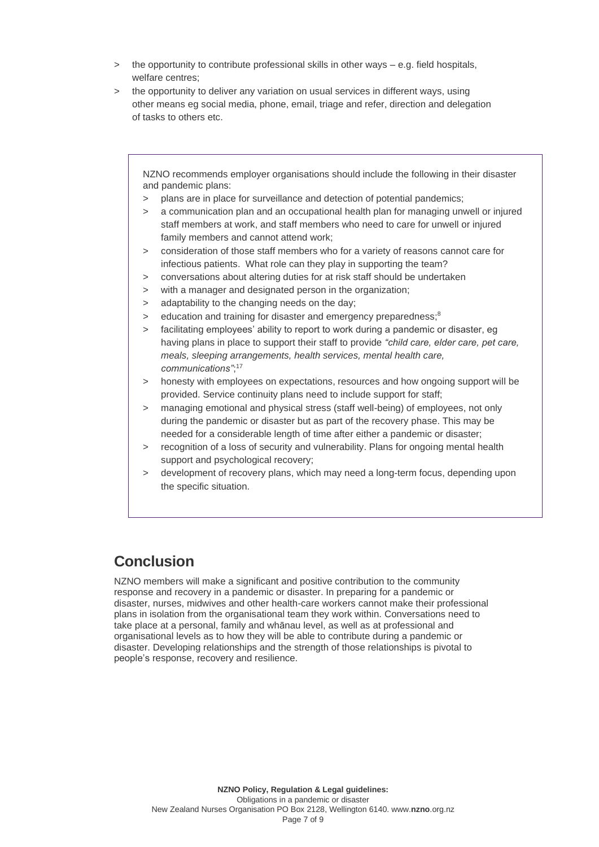- > the opportunity to contribute professional skills in other ways e.g. field hospitals, welfare centres;
- > the opportunity to deliver any variation on usual services in different ways, using other means eg social media, phone, email, triage and refer, direction and delegation of tasks to others etc.

NZNO recommends employer organisations should include the following in their disaster and pandemic plans:

- > plans are in place for surveillance and detection of potential pandemics;
- a communication plan and an occupational health plan for managing unwell or injured staff members at work, and staff members who need to care for unwell or injured family members and cannot attend work;
- > consideration of those staff members who for a variety of reasons cannot care for infectious patients. What role can they play in supporting the team?
- > conversations about altering duties for at risk staff should be undertaken
- > with a manager and designated person in the organization;
- > adaptability to the changing needs on the day;
- > education and training for disaster and emergency preparedness;<sup>8</sup>
- > facilitating employees' ability to report to work during a pandemic or disaster, eg having plans in place to support their staff to provide *"child care, elder care, pet care, meals, sleeping arrangements, health services, mental health care, communications"*; 17
- > honesty with employees on expectations, resources and how ongoing support will be provided. Service continuity plans need to include support for staff;
- > managing emotional and physical stress (staff well-being) of employees, not only during the pandemic or disaster but as part of the recovery phase. This may be needed for a considerable length of time after either a pandemic or disaster;
- > recognition of a loss of security and vulnerability. Plans for ongoing mental health support and psychological recovery:
- > development of recovery plans, which may need a long-term focus, depending upon the specific situation.

## **Conclusion**

NZNO members will make a significant and positive contribution to the community response and recovery in a pandemic or disaster. In preparing for a pandemic or disaster, nurses, midwives and other health-care workers cannot make their professional plans in isolation from the organisational team they work within. Conversations need to take place at a personal, family and whānau level, as well as at professional and organisational levels as to how they will be able to contribute during a pandemic or disaster. Developing relationships and the strength of those relationships is pivotal to people's response, recovery and resilience.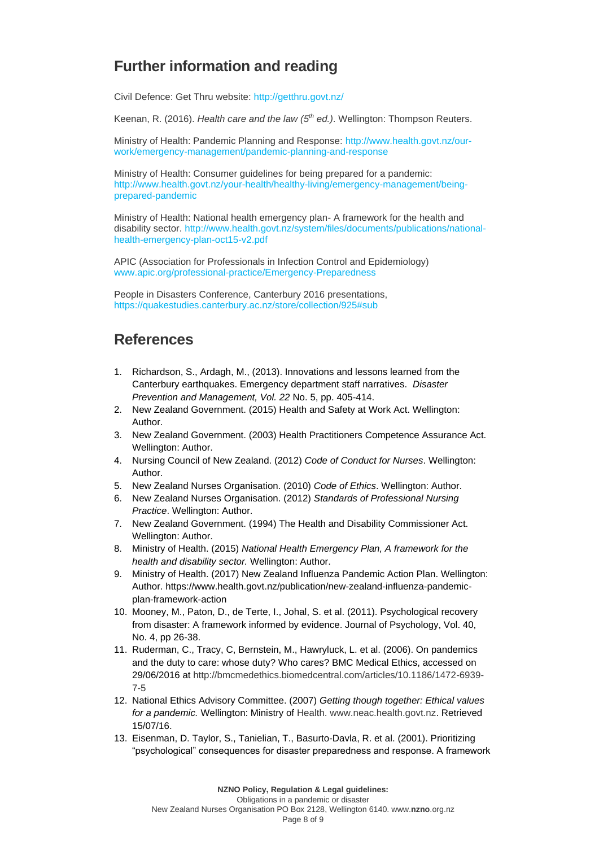## **Further information and reading**

Civil Defence: Get Thru website:<http://getthru.govt.nz/>

Keenan, R. (2016). *Health care and the law (5 th ed.)*. Wellington: Thompson Reuters.

Ministry of Health: Pandemic Planning and Response: [http://www.health.govt.nz/our](http://www.health.govt.nz/our-work/emergency-management/pandemic-planning-and-response)[work/emergency-management/pandemic-planning-and-response](http://www.health.govt.nz/our-work/emergency-management/pandemic-planning-and-response)

Ministry of Health: Consumer guidelines for being prepared for a pandemic: [http://www.health.govt.nz/your-health/healthy-living/emergency-management/being](http://www.health.govt.nz/your-health/healthy-living/emergency-management/being-prepared-pandemic)[prepared-pandemic](http://www.health.govt.nz/your-health/healthy-living/emergency-management/being-prepared-pandemic)

Ministry of Health: National health emergency plan- A framework for the health and disability sector. http://www.health.govt.nz/system/files/documents/publications/nationalhealth-emergency-plan-oct15-v2.pdf

APIC (Association for Professionals in Infection Control and Epidemiology) [www.apic.org/professional-practice/Emergency-Preparedness](http://www.apic.org/professional-practice/Emergency-Preparedness)

People in Disasters Conference, Canterbury 2016 presentations, <https://quakestudies.canterbury.ac.nz/store/collection/925#sub>

## **References**

- 1. Richardson, S., Ardagh, M., (2013). Innovations and lessons learned from the Canterbury earthquakes. Emergency department staff narratives. *Disaster Prevention and Management, Vol. 22* No. 5, pp. 405-414.
- 2. New Zealand Government. (2015) Health and Safety at Work Act. Wellington: Author.
- 3. New Zealand Government. (2003) Health Practitioners Competence Assurance Act. Wellington: Author.
- 4. Nursing Council of New Zealand. (2012) *Code of Conduct for Nurses*. Wellington: Author.
- 5. New Zealand Nurses Organisation. (2010) *Code of Ethics*. Wellington: Author.
- 6. New Zealand Nurses Organisation. (2012) *Standards of Professional Nursing Practice*. Wellington: Author.
- 7. New Zealand Government. (1994) The Health and Disability Commissioner Act. Wellington: Author.
- 8. Ministry of Health. (2015) *National Health Emergency Plan, A framework for the health and disability sector.* Wellington: Author.
- 9. Ministry of Health. (2017) New Zealand Influenza Pandemic Action Plan. Wellington: Author. https://www.health.govt.nz/publication/new-zealand-influenza-pandemicplan-framework-action
- 10. Mooney, M., Paton, D., de Terte, I., Johal, S. et al. (2011). Psychological recovery from disaster: A framework informed by evidence. Journal of Psychology, Vol. 40, No. 4, pp 26-38.
- 11. Ruderman, C., Tracy, C, Bernstein, M., Hawryluck, L. et al. (2006). On pandemics and the duty to care: whose duty? Who cares? BMC Medical Ethics, accessed on 29/06/2016 at [http://bmcmedethics.biomedcentral.com/articles/10.1186/1472-6939-](http://bmcmedethics.biomedcentral.com/articles/10.1186/1472-6939-7-5) [7-5](http://bmcmedethics.biomedcentral.com/articles/10.1186/1472-6939-7-5)
- 12. National Ethics Advisory Committee. (2007) *Getting though together: Ethical values for a pandemic.* Wellington: Ministry of [Health. www.neac.health.govt.nz.](http://health.www.neac.health.govt.nz/) Retrieved 15/07/16.
- 13. Eisenman, D. Taylor, S., Tanielian, T., Basurto-Davla, R. et al. (2001). Prioritizing "psychological" consequences for disaster preparedness and response. A framework